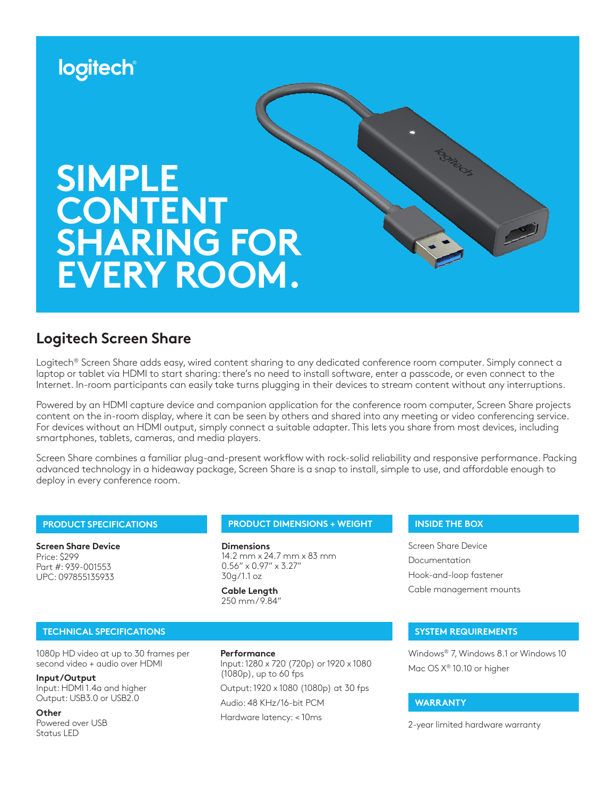

# **Logitech Screen Share**

Logitech® Screen Share adds easy, wired content sharing to any dedicated conference room computer. Simply connect a laptop or tablet via HDMI to start sharing: there's no need to install software, enter a passcode, or even connect to the Internet. In-room participants can easily take turns plugging in their devices to stream content without any interruptions.

Powered by an HDMI capture device and companion application for the conference room computer, Screen Share projects content on the in-room display, where it can be seen by others and shared into any meeting or video conferencing service. For devices without an HDMI output, simply connect a suitable adapter. This lets you share from most devices, including smartphones, tablets, cameras, and media players.

Screen Share combines a familiar plug-and-present workflow with rock-solid reliability and responsive performance. Packing advanced technology in a hideaway package, Screen Share is a snap to install, simple to use, and affordable enough to deploy in every conference room.

## **PRODUCT SPECIFICATIONS**

**Screen Share Device** Price: \$299 Part #: 939-001553 UPC: 097855135933

### **PRODUCT DIMENSIONS + WEIGHT INSIDE THE BOX**

**Dimensions** 14.2 mm x 24.7 mm x 83 mm 0.56" x 0.97" x 3.27" 30g/1.1 oz

**Cable Length** 250 mm / 9.84"

Screen Share Device Documentation Hook-and-loop fastener Cable management mounts

### **TECHNICAL SPECIFICATIONS SYSTEM REQUIREMENTS**

1080p HD video at up to 30 frames per second video + audio over HDMI

**Input/Output** Input: HDMI 1.4a and higher Output: USB3.0 or USB2.0

**Other**

Powered over USB Status LED

#### **Performance**

Input: 1280 x 720 (720p) or 1920 x 1080 (1080p), up to 60 fps

Output: 1920 x 1080 (1080p) at 30 fps

Audio: 48 KHz/16-bit PCM

Windows® 7, Windows 8.1 or Windows 10 Mac OS X® 10.10 or higher

#### **WARRANTY**

Hardware latency: < 10ms 2-year limited hardware warranty